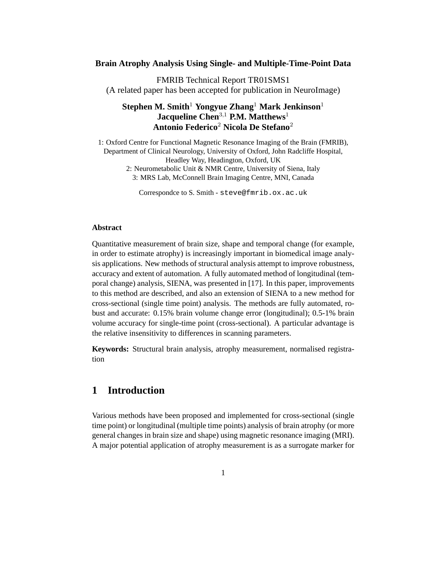#### **Brain Atrophy Analysis Using Single- and Multiple-Time-Point Data**

FMRIB Technical Report TR01SMS1 (A related paper has been accepted for publication in NeuroImage)

## **Stephen M. Smith**<sup>1</sup> **Yongyue Zhang**<sup>1</sup> **Mark Jenkinson**<sup>1</sup> **Jacqueline Chen**<sup>3</sup>,<sup>1</sup> **P.M. Matthews**<sup>1</sup> **Antonio Federico**<sup>2</sup> **Nicola De Stefano**<sup>2</sup>

1: Oxford Centre for Functional Magnetic Resonance Imaging of the Brain (FMRIB), Department of Clinical Neurology, University of Oxford, John Radcliffe Hospital, Headley Way, Headington, Oxford, UK 2: Neurometabolic Unit & NMR Centre, University of Siena, Italy 3: MRS Lab, McConnell Brain Imaging Centre, MNI, Canada

Correspondce to S. Smith - steve@fmrib.ox.ac.uk

#### **Abstract**

Quantitative measurement of brain size, shape and temporal change (for example, in order to estimate atrophy) is increasingly important in biomedical image analysis applications. New methods of structural analysis attempt to improve robustness, accuracy and extent of automation. A fully automated method of longitudinal (temporal change) analysis, SIENA, was presented in [17]. In this paper, improvements to this method are described, and also an extension of SIENA to a new method for cross-sectional (single time point) analysis. The methods are fully automated, robust and accurate: 0.15% brain volume change error (longitudinal); 0.5-1% brain volume accuracy for single-time point (cross-sectional). A particular advantage is the relative insensitivity to differences in scanning parameters.

**Keywords:** Structural brain analysis, atrophy measurement, normalised registration

# **1 Introduction**

Various methods have been proposed and implemented for cross-sectional (single time point) or longitudinal (multiple time points) analysis of brain atrophy (or more general changes in brain size and shape) using magnetic resonance imaging (MRI). A major potential application of atrophy measurement is as a surrogate marker for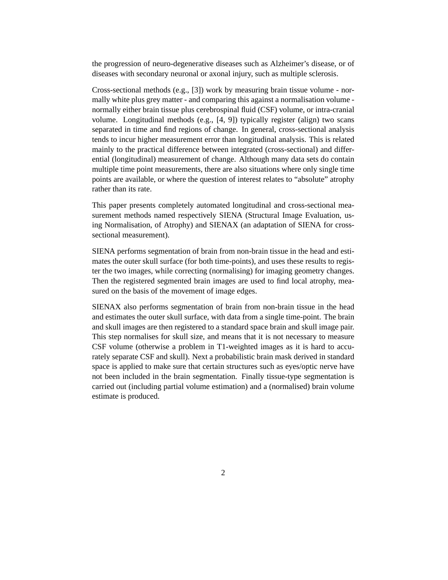the progression of neuro-degenerative diseases such as Alzheimer's disease, or of diseases with secondary neuronal or axonal injury, such as multiple sclerosis.

Cross-sectional methods (e.g., [3]) work by measuring brain tissue volume - normally white plus grey matter - and comparing this against a normalisation volume normally either brain tissue plus cerebrospinal fluid (CSF) volume, or intra-cranial volume. Longitudinal methods (e.g., [4, 9]) typically register (align) two scans separated in time and find regions of change. In general, cross-sectional analysis tends to incur higher measurement error than longitudinal analysis. This is related mainly to the practical difference between integrated (cross-sectional) and differential (longitudinal) measurement of change. Although many data sets do contain multiple time point measurements, there are also situations where only single time points are available, or where the question of interest relates to "absolute" atrophy rather than its rate.

This paper presents completely automated longitudinal and cross-sectional measurement methods named respectively SIENA (Structural Image Evaluation, using Normalisation, of Atrophy) and SIENAX (an adaptation of SIENA for crosssectional measurement).

SIENA performs segmentation of brain from non-brain tissue in the head and estimates the outer skull surface (for both time-points), and uses these results to register the two images, while correcting (normalising) for imaging geometry changes. Then the registered segmented brain images are used to find local atrophy, measured on the basis of the movement of image edges.

SIENAX also performs segmentation of brain from non-brain tissue in the head and estimates the outer skull surface, with data from a single time-point. The brain and skull images are then registered to a standard space brain and skull image pair. This step normalises for skull size, and means that it is not necessary to measure CSF volume (otherwise a problem in T1-weighted images as it is hard to accurately separate CSF and skull). Next a probabilistic brain mask derived in standard space is applied to make sure that certain structures such as eyes/optic nerve have not been included in the brain segmentation. Finally tissue-type segmentation is carried out (including partial volume estimation) and a (normalised) brain volume estimate is produced.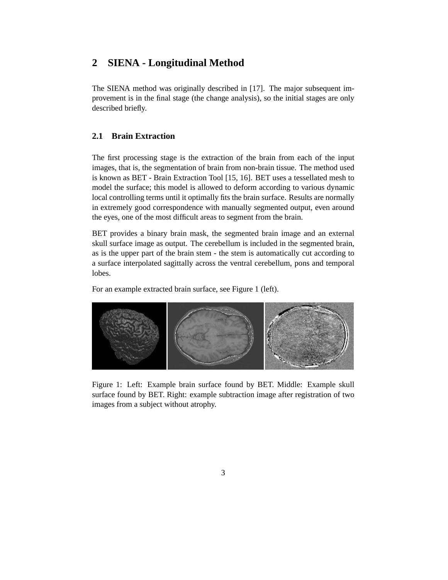# **2 SIENA - Longitudinal Method**

The SIENA method was originally described in [17]. The major subsequent improvement is in the final stage (the change analysis), so the initial stages are only described briefly.

## **2.1 Brain Extraction**

The first processing stage is the extraction of the brain from each of the input images, that is, the segmentation of brain from non-brain tissue. The method used is known as BET - Brain Extraction Tool [15, 16]. BET uses a tessellated mesh to model the surface; this model is allowed to deform according to various dynamic local controlling terms until it optimally fits the brain surface. Results are normally in extremely good correspondence with manually segmented output, even around the eyes, one of the most difficult areas to segment from the brain.

BET provides a binary brain mask, the segmented brain image and an external skull surface image as output. The cerebellum is included in the segmented brain, as is the upper part of the brain stem - the stem is automatically cut according to a surface interpolated sagittally across the ventral cerebellum, pons and temporal lobes.

For an example extracted brain surface, see Figure 1 (left).



Figure 1: Left: Example brain surface found by BET. Middle: Example skull surface found by BET. Right: example subtraction image after registration of two images from a subject without atrophy.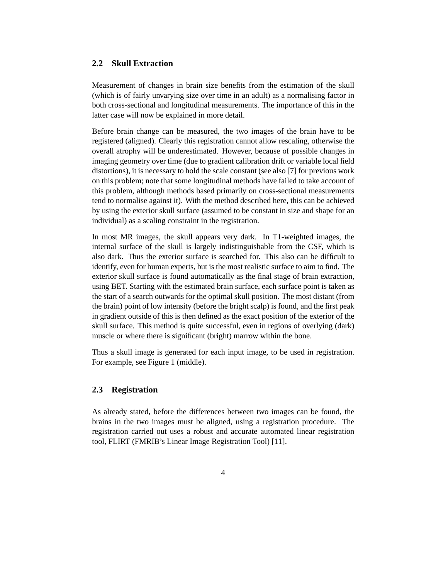#### **2.2 Skull Extraction**

Measurement of changes in brain size benefits from the estimation of the skull (which is of fairly unvarying size over time in an adult) as a normalising factor in both cross-sectional and longitudinal measurements. The importance of this in the latter case will now be explained in more detail.

Before brain change can be measured, the two images of the brain have to be registered (aligned). Clearly this registration cannot allow rescaling, otherwise the overall atrophy will be underestimated. However, because of possible changes in imaging geometry over time (due to gradient calibration drift or variable local field distortions), it is necessary to hold the scale constant (see also [7] for previous work on this problem; note that some longitudinal methods have failed to take account of this problem, although methods based primarily on cross-sectional measurements tend to normalise against it). With the method described here, this can be achieved by using the exterior skull surface (assumed to be constant in size and shape for an individual) as a scaling constraint in the registration.

In most MR images, the skull appears very dark. In T1-weighted images, the internal surface of the skull is largely indistinguishable from the CSF, which is also dark. Thus the exterior surface is searched for. This also can be difficult to identify, even for human experts, but is the most realistic surface to aim to find. The exterior skull surface is found automatically as the final stage of brain extraction, using BET. Starting with the estimated brain surface, each surface point is taken as the start of a search outwards for the optimal skull position. The most distant (from the brain) point of low intensity (before the bright scalp) is found, and the first peak in gradient outside of this is then defined as the exact position of the exterior of the skull surface. This method is quite successful, even in regions of overlying (dark) muscle or where there is significant (bright) marrow within the bone.

Thus a skull image is generated for each input image, to be used in registration. For example, see Figure 1 (middle).

### **2.3 Registration**

As already stated, before the differences between two images can be found, the brains in the two images must be aligned, using a registration procedure. The registration carried out uses a robust and accurate automated linear registration tool, FLIRT (FMRIB's Linear Image Registration Tool) [11].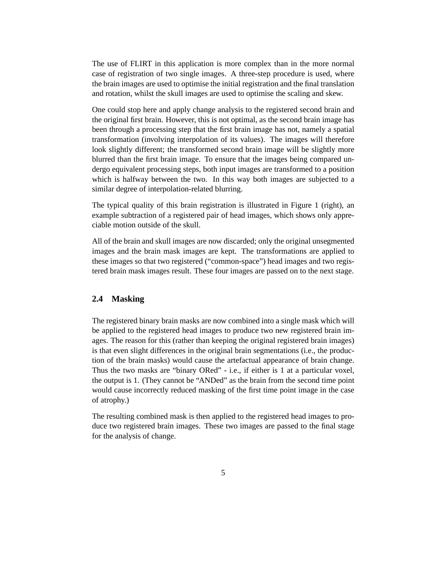The use of FLIRT in this application is more complex than in the more normal case of registration of two single images. A three-step procedure is used, where the brain images are used to optimise the initial registration and the final translation and rotation, whilst the skull images are used to optimise the scaling and skew.

One could stop here and apply change analysis to the registered second brain and the original first brain. However, this is not optimal, as the second brain image has been through a processing step that the first brain image has not, namely a spatial transformation (involving interpolation of its values). The images will therefore look slightly different; the transformed second brain image will be slightly more blurred than the first brain image. To ensure that the images being compared undergo equivalent processing steps, both input images are transformed to a position which is halfway between the two. In this way both images are subjected to a similar degree of interpolation-related blurring.

The typical quality of this brain registration is illustrated in Figure 1 (right), an example subtraction of a registered pair of head images, which shows only appreciable motion outside of the skull.

All of the brain and skull images are now discarded; only the original unsegmented images and the brain mask images are kept. The transformations are applied to these images so that two registered ("common-space") head images and two registered brain mask images result. These four images are passed on to the next stage.

### **2.4 Masking**

The registered binary brain masks are now combined into a single mask which will be applied to the registered head images to produce two new registered brain images. The reason for this (rather than keeping the original registered brain images) is that even slight differences in the original brain segmentations (i.e., the production of the brain masks) would cause the artefactual appearance of brain change. Thus the two masks are "binary ORed" - i.e., if either is 1 at a particular voxel, the output is 1. (They cannot be "ANDed" as the brain from the second time point would cause incorrectly reduced masking of the first time point image in the case of atrophy.)

The resulting combined mask is then applied to the registered head images to produce two registered brain images. These two images are passed to the final stage for the analysis of change.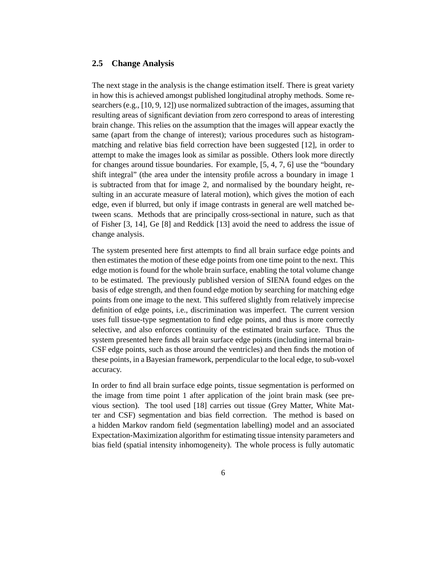### **2.5 Change Analysis**

The next stage in the analysis is the change estimation itself. There is great variety in how this is achieved amongst published longitudinal atrophy methods. Some researchers (e.g., [10, 9, 12]) use normalized subtraction of the images, assuming that resulting areas of significant deviation from zero correspond to areas of interesting brain change. This relies on the assumption that the images will appear exactly the same (apart from the change of interest); various procedures such as histogrammatching and relative bias field correction have been suggested [12], in order to attempt to make the images look as similar as possible. Others look more directly for changes around tissue boundaries. For example, [5, 4, 7, 6] use the "boundary shift integral" (the area under the intensity profile across a boundary in image 1 is subtracted from that for image 2, and normalised by the boundary height, resulting in an accurate measure of lateral motion), which gives the motion of each edge, even if blurred, but only if image contrasts in general are well matched between scans. Methods that are principally cross-sectional in nature, such as that of Fisher [3, 14], Ge [8] and Reddick [13] avoid the need to address the issue of change analysis.

The system presented here first attempts to find all brain surface edge points and then estimates the motion of these edge points from one time point to the next. This edge motion is found for the whole brain surface, enabling the total volume change to be estimated. The previously published version of SIENA found edges on the basis of edge strength, and then found edge motion by searching for matching edge points from one image to the next. This suffered slightly from relatively imprecise definition of edge points, i.e., discrimination was imperfect. The current version uses full tissue-type segmentation to find edge points, and thus is more correctly selective, and also enforces continuity of the estimated brain surface. Thus the system presented here finds all brain surface edge points (including internal brain-CSF edge points, such as those around the ventricles) and then finds the motion of these points, in a Bayesian framework, perpendicular to the local edge, to sub-voxel accuracy.

In order to find all brain surface edge points, tissue segmentation is performed on the image from time point 1 after application of the joint brain mask (see previous section). The tool used [18] carries out tissue (Grey Matter, White Matter and CSF) segmentation and bias field correction. The method is based on a hidden Markov random field (segmentation labelling) model and an associated Expectation-Maximization algorithm for estimating tissue intensity parameters and bias field (spatial intensity inhomogeneity). The whole process is fully automatic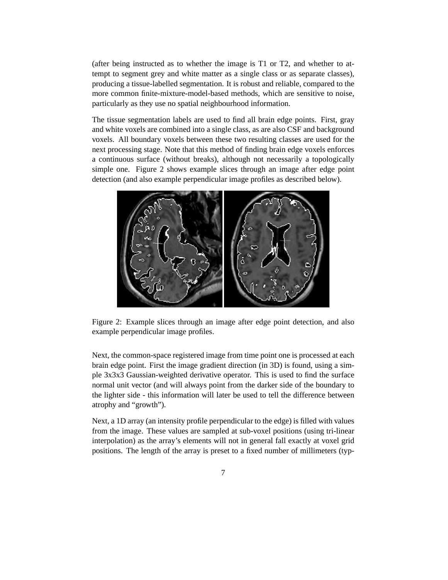(after being instructed as to whether the image is T1 or T2, and whether to attempt to segment grey and white matter as a single class or as separate classes), producing a tissue-labelled segmentation. It is robust and reliable, compared to the more common finite-mixture-model-based methods, which are sensitive to noise, particularly as they use no spatial neighbourhood information.

The tissue segmentation labels are used to find all brain edge points. First, gray and white voxels are combined into a single class, as are also CSF and background voxels. All boundary voxels between these two resulting classes are used for the next processing stage. Note that this method of finding brain edge voxels enforces a continuous surface (without breaks), although not necessarily a topologically simple one. Figure 2 shows example slices through an image after edge point detection (and also example perpendicular image profiles as described below).  $\mu$  (and also example perpendicular mage promes as described below).



Figure 2: Example slices through an image after edge point detection, and also example perpendicular image profiles.

Next, the common-space registered image from time point one is processed at each brain edge point. First the image gradient direction (in 3D) is found, using a simple 3x3x3 Gaussian-weighted derivative operator. This is used to find the surface normal unit vector (and will always point from the darker side of the boundary to the lighter side - this information will later be used to tell the difference between atrophy and "growth").

Next, a 1D array (an intensity profile perpendicular to the edge) is filled with values from the image. These values are sampled at sub-voxel positions (using tri-linear interpolation) as the array's elements will not in general fall exactly at voxel grid positions. The length of the array is preset to a fixed number of millimeters (typ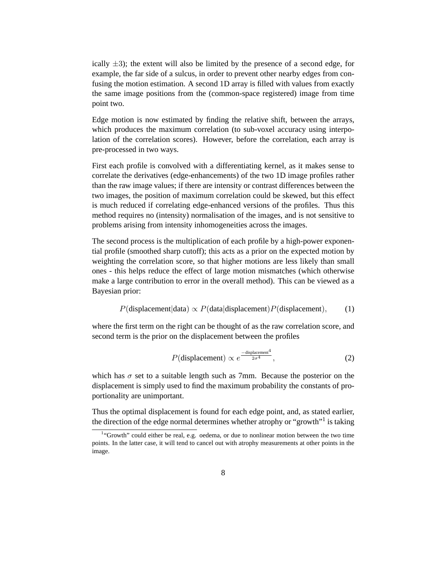ically  $\pm 3$ ); the extent will also be limited by the presence of a second edge, for example, the far side of a sulcus, in order to prevent other nearby edges from confusing the motion estimation. A second 1D array is filled with values from exactly the same image positions from the (common-space registered) image from time point two.

Edge motion is now estimated by finding the relative shift, between the arrays, which produces the maximum correlation (to sub-voxel accuracy using interpolation of the correlation scores). However, before the correlation, each array is pre-processed in two ways.

First each profile is convolved with a differentiating kernel, as it makes sense to correlate the derivatives (edge-enhancements) of the two 1D image profiles rather than the raw image values; if there are intensity or contrast differences between the two images, the position of maximum correlation could be skewed, but this effect is much reduced if correlating edge-enhanced versions of the profiles. Thus this method requires no (intensity) normalisation of the images, and is not sensitive to problems arising from intensity inhomogeneities across the images.

The second process is the multiplication of each profile by a high-power exponential profile (smoothed sharp cutoff); this acts as a prior on the expected motion by weighting the correlation score, so that higher motions are less likely than small ones - this helps reduce the effect of large motion mismatches (which otherwise make a large contribution to error in the overall method). This can be viewed as a Bayesian prior:

$$
P(\text{displacement}|\text{data}) \propto P(\text{data}|\text{displacement})P(\text{displacement}),
$$
 (1)

where the first term on the right can be thought of as the raw correlation score, and second term is the prior on the displacement between the profiles

$$
P(\text{displacement}) \propto e^{\frac{-\text{displacement}^4}{2\sigma^4}}, \tag{2}
$$

which has  $\sigma$  set to a suitable length such as 7mm. Because the posterior on the displacement is simply used to find the maximum probability the constants of proportionality are unimportant.

Thus the optimal displacement is found for each edge point, and, as stated earlier, the direction of the edge normal determines whether atrophy or "growth"<sup>1</sup> is taking

<sup>&</sup>lt;sup>1</sup>"Growth" could either be real, e.g. oedema, or due to nonlinear motion between the two time points. In the latter case, it will tend to cancel out with atrophy measurements at other points in the image.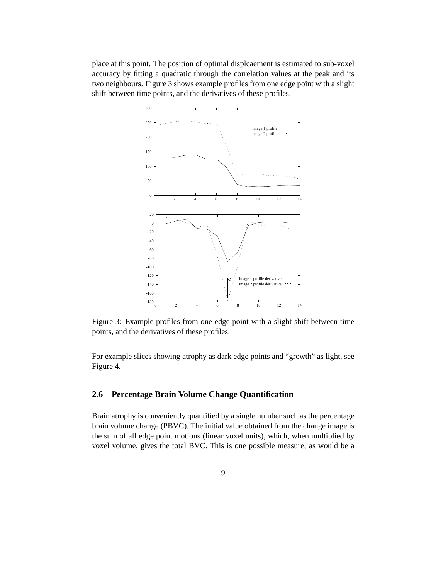place at this point. The position of optimal displcaement is estimated to sub-voxel accuracy by fitting a quadratic through the correlation values at the peak and its two neighbours. Figure 3 shows example profiles from one edge point with a slight shift between time points, and the derivatives of these profiles.



Figure 3: Example profiles from one edge point with a slight shift between time points, and the derivatives of these profiles.

For example slices showing atrophy as dark edge points and "growth" as light, see Figure 4.

## **2.6 Percentage Brain Volume Change Quantification**

Brain atrophy is conveniently quantified by a single number such as the percentage brain volume change (PBVC). The initial value obtained from the change image is the sum of all edge point motions (linear voxel units), which, when multiplied by voxel volume, gives the total BVC. This is one possible measure, as would be a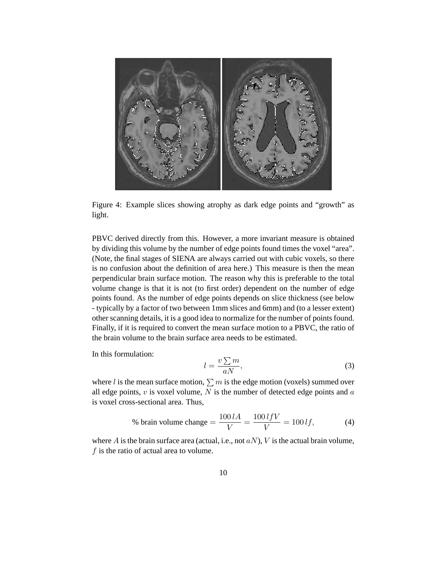

Figure 4: Example slices showing atrophy as dark edge points and "growth" as light.

PBVC derived directly from this. However, a more invariant measure is obtained by dividing this volume by the number of edge points found times the voxel "area". (Note, the final stages of SIENA are always carried out with cubic voxels, so there is no confusion about the definition of area here.) This measure is then the mean perpendicular brain surface motion. The reason why this is preferable to the total volume change is that it is not (to first order) dependent on the number of edge points found. As the number of edge points depends on slice thickness (see below - typically by a factor of two between 1mm slices and 6mm) and (to a lesser extent) other scanning details, it is a good idea to normalize for the number of points found. Finally, if it is required to convert the mean surface motion to a PBVC, the ratio of the brain volume to the brain surface area needs to be estimated.

In this formulation:

$$
l = \frac{v \sum m}{aN},\tag{3}
$$

where *l* is the mean surface motion,  $\sum m$  is the edge motion (voxels) summed over all edge points,  $v$  is voxel volume,  $N$  is the number of detected edge points and  $a$ is voxel cross-sectional area. Thus,

% brain volume change = 
$$
\frac{100 lA}{V} = \frac{100 lfV}{V} = 100 lf,
$$
 (4)

where A is the brain surface area (actual, i.e., not  $aN$ ), V is the actual brain volume,  $f$  is the ratio of actual area to volume.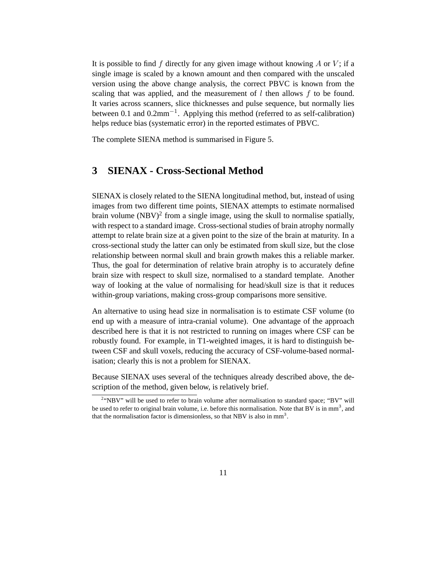It is possible to find f directly for any given image without knowing  $\overline{A}$  or  $\overline{V}$ ; if a single image is scaled by a known amount and then compared with the unscaled version using the above change analysis, the correct PBVC is known from the scaling that was applied, and the measurement of  $l$  then allows  $f$  to be found. It varies across scanners, slice thicknesses and pulse sequence, but normally lies between 0.1 and 0.2mm−<sup>1</sup> . Applying this method (referred to as self-calibration) helps reduce bias (systematic error) in the reported estimates of PBVC.

The complete SIENA method is summarised in Figure 5.

# **3 SIENAX - Cross-Sectional Method**

SIENAX is closely related to the SIENA longitudinal method, but, instead of using images from two different time points, SIENAX attempts to estimate normalised brain volume  $(NBV)^2$  from a single image, using the skull to normalise spatially, with respect to a standard image. Cross-sectional studies of brain atrophy normally attempt to relate brain size at a given point to the size of the brain at maturity. In a cross-sectional study the latter can only be estimated from skull size, but the close relationship between normal skull and brain growth makes this a reliable marker. Thus, the goal for determination of relative brain atrophy is to accurately define brain size with respect to skull size, normalised to a standard template. Another way of looking at the value of normalising for head/skull size is that it reduces within-group variations, making cross-group comparisons more sensitive.

An alternative to using head size in normalisation is to estimate CSF volume (to end up with a measure of intra-cranial volume). One advantage of the approach described here is that it is not restricted to running on images where CSF can be robustly found. For example, in T1-weighted images, it is hard to distinguish between CSF and skull voxels, reducing the accuracy of CSF-volume-based normalisation; clearly this is not a problem for SIENAX.

Because SIENAX uses several of the techniques already described above, the description of the method, given below, is relatively brief.

<sup>&</sup>lt;sup>2</sup>"NBV" will be used to refer to brain volume after normalisation to standard space; "BV" will be used to refer to original brain volume, i.e. before this normalisation. Note that BV is in mm<sup>3</sup>, and that the normalisation factor is dimensionless, so that NBV is also in  $mm<sup>3</sup>$ .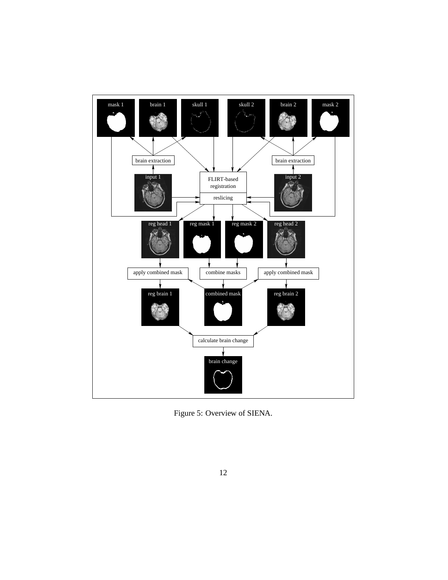

Figure 5: Overview of SIENA.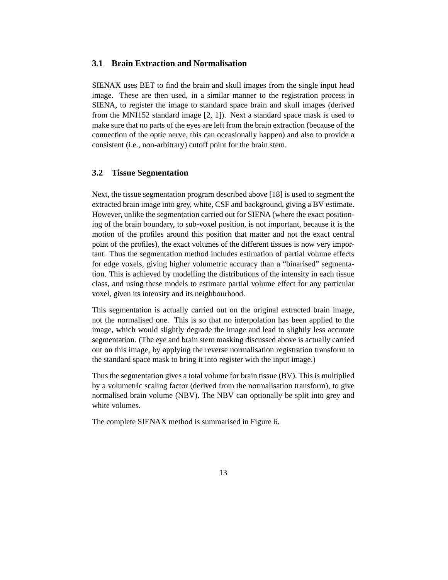#### **3.1 Brain Extraction and Normalisation**

SIENAX uses BET to find the brain and skull images from the single input head image. These are then used, in a similar manner to the registration process in SIENA, to register the image to standard space brain and skull images (derived from the MNI152 standard image [2, 1]). Next a standard space mask is used to make sure that no parts of the eyes are left from the brain extraction (because of the connection of the optic nerve, this can occasionally happen) and also to provide a consistent (i.e., non-arbitrary) cutoff point for the brain stem.

## **3.2 Tissue Segmentation**

Next, the tissue segmentation program described above [18] is used to segment the extracted brain image into grey, white, CSF and background, giving a BV estimate. However, unlike the segmentation carried out for SIENA (where the exact positioning of the brain boundary, to sub-voxel position, is not important, because it is the motion of the profiles around this position that matter and not the exact central point of the profiles), the exact volumes of the different tissues is now very important. Thus the segmentation method includes estimation of partial volume effects for edge voxels, giving higher volumetric accuracy than a "binarised" segmentation. This is achieved by modelling the distributions of the intensity in each tissue class, and using these models to estimate partial volume effect for any particular voxel, given its intensity and its neighbourhood.

This segmentation is actually carried out on the original extracted brain image, not the normalised one. This is so that no interpolation has been applied to the image, which would slightly degrade the image and lead to slightly less accurate segmentation. (The eye and brain stem masking discussed above is actually carried out on this image, by applying the reverse normalisation registration transform to the standard space mask to bring it into register with the input image.)

Thus the segmentation gives a total volume for brain tissue (BV). This is multiplied by a volumetric scaling factor (derived from the normalisation transform), to give normalised brain volume (NBV). The NBV can optionally be split into grey and white volumes.

The complete SIENAX method is summarised in Figure 6.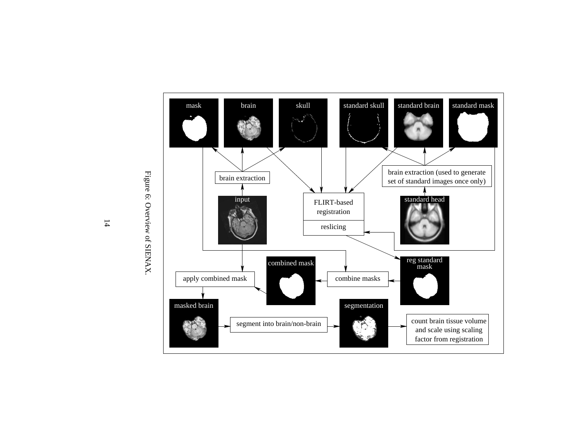

Figure 6: Overview of SIENAX. Figure 6: Overview of SIENAX.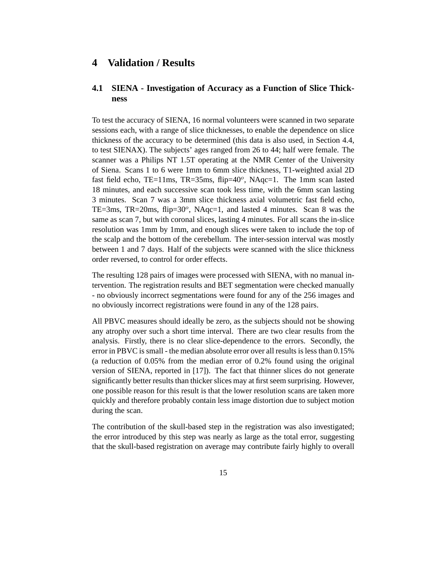## **4 Validation / Results**

## **4.1 SIENA - Investigation of Accuracy as a Function of Slice Thickness**

To test the accuracy of SIENA, 16 normal volunteers were scanned in two separate sessions each, with a range of slice thicknesses, to enable the dependence on slice thickness of the accuracy to be determined (this data is also used, in Section 4.4, to test SIENAX). The subjects' ages ranged from 26 to 44; half were female. The scanner was a Philips NT 1.5T operating at the NMR Center of the University of Siena. Scans 1 to 6 were 1mm to 6mm slice thickness, T1-weighted axial 2D fast field echo, TE=11ms, TR=35ms, flip=40 $^{\circ}$ , NAqc=1. The 1mm scan lasted 18 minutes, and each successive scan took less time, with the 6mm scan lasting 3 minutes. Scan 7 was a 3mm slice thickness axial volumetric fast field echo, TE=3ms, TR=20ms, flip=30 $^{\circ}$ , NAqc=1, and lasted 4 minutes. Scan 8 was the same as scan 7, but with coronal slices, lasting 4 minutes. For all scans the in-slice resolution was 1mm by 1mm, and enough slices were taken to include the top of the scalp and the bottom of the cerebellum. The inter-session interval was mostly between 1 and 7 days. Half of the subjects were scanned with the slice thickness order reversed, to control for order effects.

The resulting 128 pairs of images were processed with SIENA, with no manual intervention. The registration results and BET segmentation were checked manually - no obviously incorrect segmentations were found for any of the 256 images and no obviously incorrect registrations were found in any of the 128 pairs.

All PBVC measures should ideally be zero, as the subjects should not be showing any atrophy over such a short time interval. There are two clear results from the analysis. Firstly, there is no clear slice-dependence to the errors. Secondly, the error in PBVC is small - the median absolute error over all results is less than 0.15% (a reduction of 0.05% from the median error of 0.2% found using the original version of SIENA, reported in [17]). The fact that thinner slices do not generate significantly better results than thicker slices may at first seem surprising. However, one possible reason for this result is that the lower resolution scans are taken more quickly and therefore probably contain less image distortion due to subject motion during the scan.

The contribution of the skull-based step in the registration was also investigated; the error introduced by this step was nearly as large as the total error, suggesting that the skull-based registration on average may contribute fairly highly to overall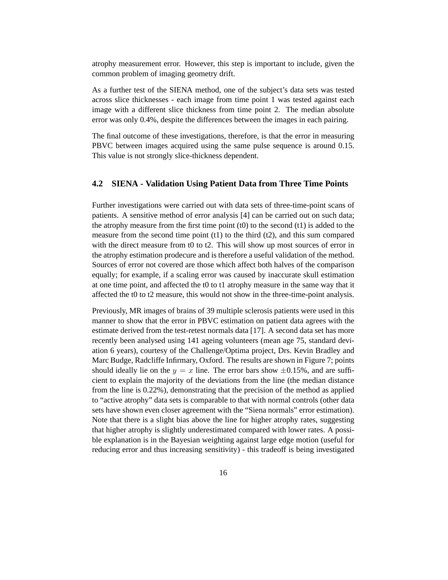atrophy measurement error. However, this step is important to include, given the common problem of imaging geometry drift.

As a further test of the SIENA method, one of the subject's data sets was tested across slice thicknesses - each image from time point 1 was tested against each image with a different slice thickness from time point 2. The median absolute error was only 0.4%, despite the differences between the images in each pairing.

The final outcome of these investigations, therefore, is that the error in measuring PBVC between images acquired using the same pulse sequence is around 0.15. This value is not strongly slice-thickness dependent.

### **4.2 SIENA - Validation Using Patient Data from Three Time Points**

Further investigations were carried out with data sets of three-time-point scans of patients. A sensitive method of error analysis [4] can be carried out on such data; the atrophy measure from the first time point  $(10)$  to the second  $(11)$  is added to the measure from the second time point  $(t1)$  to the third  $(t2)$ , and this sum compared with the direct measure from t0 to t2. This will show up most sources of error in the atrophy estimation prodecure and is therefore a useful validation of the method. Sources of error not covered are those which affect both halves of the comparison equally; for example, if a scaling error was caused by inaccurate skull estimation at one time point, and affected the t0 to t1 atrophy measure in the same way that it affected the t0 to t2 measure, this would not show in the three-time-point analysis.

Previously, MR images of brains of 39 multiple sclerosis patients were used in this manner to show that the error in PBVC estimation on patient data agrees with the estimate derived from the test-retest normals data [17]. A second data set has more recently been analysed using 141 ageing volunteers (mean age 75, standard deviation 6 years), courtesy of the Challenge/Optima project, Drs. Kevin Bradley and Marc Budge, Radcliffe Infirmary, Oxford. The results are shown in Figure 7; points should ideally lie on the  $y = x$  line. The error bars show  $\pm 0.15\%$ , and are sufficient to explain the majority of the deviations from the line (the median distance from the line is 0.22%), demonstrating that the precision of the method as applied to "active atrophy" data sets is comparable to that with normal controls (other data sets have shown even closer agreement with the "Siena normals" error estimation). Note that there is a slight bias above the line for higher atrophy rates, suggesting that higher atrophy is slightly underestimated compared with lower rates. A possible explanation is in the Bayesian weighting against large edge motion (useful for reducing error and thus increasing sensitivity) - this tradeoff is being investigated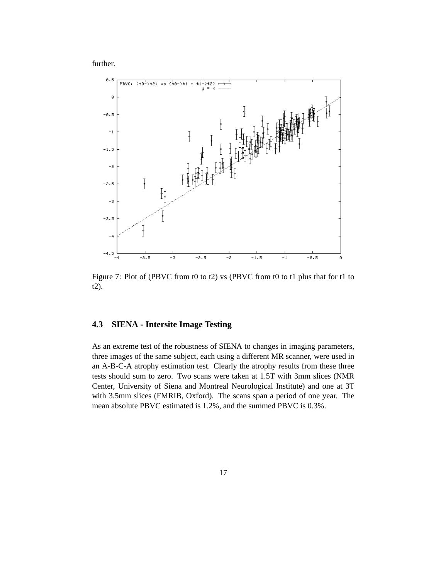further.



Figure 7: Plot of (PBVC from t0 to t2) vs (PBVC from t0 to t1 plus that for t1 to t2).

## **4.3 SIENA - Intersite Image Testing**

As an extreme test of the robustness of SIENA to changes in imaging parameters, three images of the same subject, each using a different MR scanner, were used in an A-B-C-A atrophy estimation test. Clearly the atrophy results from these three tests should sum to zero. Two scans were taken at 1.5T with 3mm slices (NMR Center, University of Siena and Montreal Neurological Institute) and one at 3T with 3.5mm slices (FMRIB, Oxford). The scans span a period of one year. The mean absolute PBVC estimated is 1.2%, and the summed PBVC is 0.3%.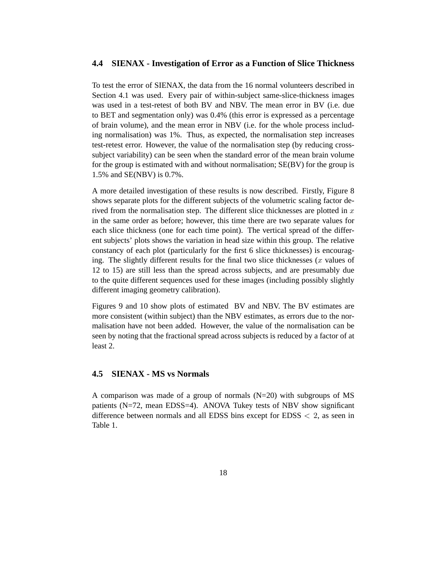#### **4.4 SIENAX - Investigation of Error as a Function of Slice Thickness**

To test the error of SIENAX, the data from the 16 normal volunteers described in Section 4.1 was used. Every pair of within-subject same-slice-thickness images was used in a test-retest of both BV and NBV. The mean error in BV (i.e. due to BET and segmentation only) was 0.4% (this error is expressed as a percentage of brain volume), and the mean error in NBV (i.e. for the whole process including normalisation) was 1%. Thus, as expected, the normalisation step increases test-retest error. However, the value of the normalisation step (by reducing crosssubject variability) can be seen when the standard error of the mean brain volume for the group is estimated with and without normalisation; SE(BV) for the group is 1.5% and SE(NBV) is 0.7%.

A more detailed investigation of these results is now described. Firstly, Figure 8 shows separate plots for the different subjects of the volumetric scaling factor derived from the normalisation step. The different slice thicknesses are plotted in  $x$ in the same order as before; however, this time there are two separate values for each slice thickness (one for each time point). The vertical spread of the different subjects' plots shows the variation in head size within this group. The relative constancy of each plot (particularly for the first 6 slice thicknesses) is encouraging. The slightly different results for the final two slice thicknesses  $(x$  values of 12 to 15) are still less than the spread across subjects, and are presumably due to the quite different sequences used for these images (including possibly slightly different imaging geometry calibration).

Figures 9 and 10 show plots of estimated BV and NBV. The BV estimates are more consistent (within subject) than the NBV estimates, as errors due to the normalisation have not been added. However, the value of the normalisation can be seen by noting that the fractional spread across subjects is reduced by a factor of at least 2.

## **4.5 SIENAX - MS vs Normals**

A comparison was made of a group of normals  $(N=20)$  with subgroups of MS patients (N=72, mean EDSS=4). ANOVA Tukey tests of NBV show significant difference between normals and all EDSS bins except for EDSS < 2, as seen in Table 1.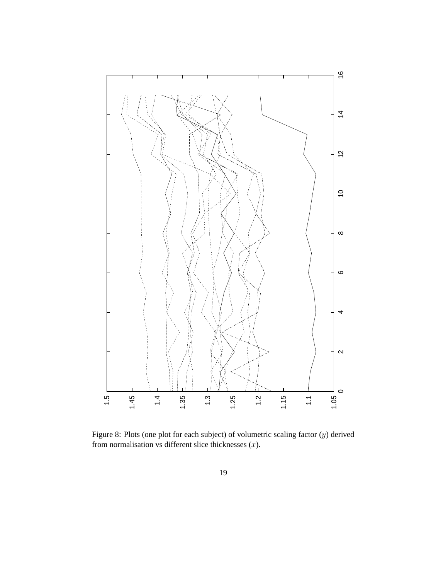

Figure 8: Plots (one plot for each subject) of volumetric scaling factor  $(y)$  derived from normalisation vs different slice thicknesses  $(x)$ .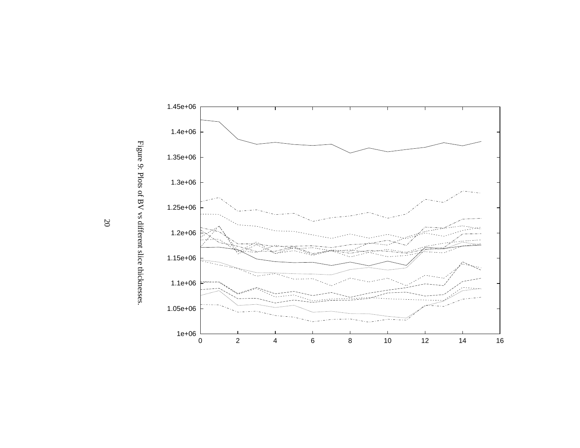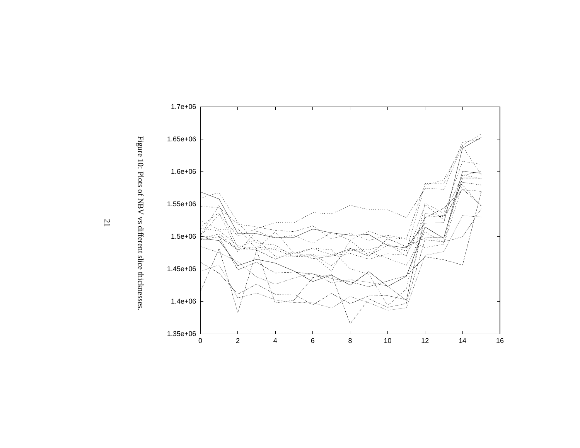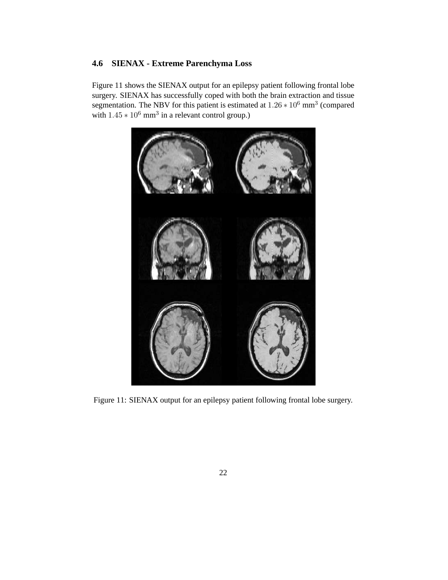## **4.6 SIENAX - Extreme Parenchyma Loss**

Figure 11 shows the SIENAX output for an epilepsy patient following frontal lobe surgery. SIENAX has successfully coped with both the brain extraction and tissue segmentation. The NBV for this patient is estimated at  $1.26 * 10^6$  mm<sup>3</sup> (compared with  $1.45 * 10^6$  mm<sup>3</sup> in a relevant control group.)



Figure 11: SIENAX output for an epilepsy patient following frontal lobe surgery.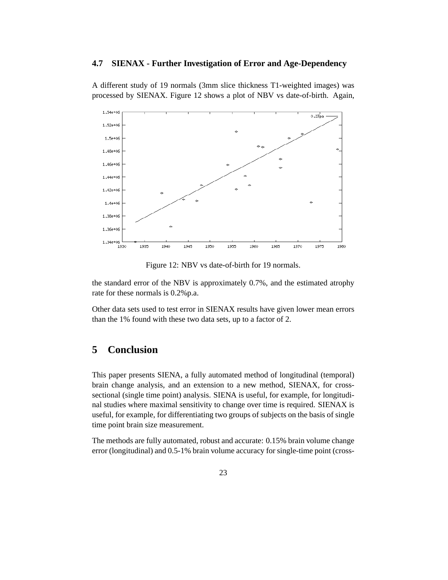#### **4.7 SIENAX - Further Investigation of Error and Age-Dependency**

A different study of 19 normals (3mm slice thickness T1-weighted images) was processed by SIENAX. Figure 12 shows a plot of NBV vs date-of-birth. Again,



Figure 12: NBV vs date-of-birth for 19 normals.

the standard error of the NBV is approximately 0.7%, and the estimated atrophy rate for these normals is 0.2%p.a.

Other data sets used to test error in SIENAX results have given lower mean errors than the 1% found with these two data sets, up to a factor of 2.

# **5 Conclusion**

This paper presents SIENA, a fully automated method of longitudinal (temporal) brain change analysis, and an extension to a new method, SIENAX, for crosssectional (single time point) analysis. SIENA is useful, for example, for longitudinal studies where maximal sensitivity to change over time is required. SIENAX is useful, for example, for differentiating two groups of subjects on the basis of single time point brain size measurement.

The methods are fully automated, robust and accurate: 0.15% brain volume change error (longitudinal) and 0.5-1% brain volume accuracy for single-time point (cross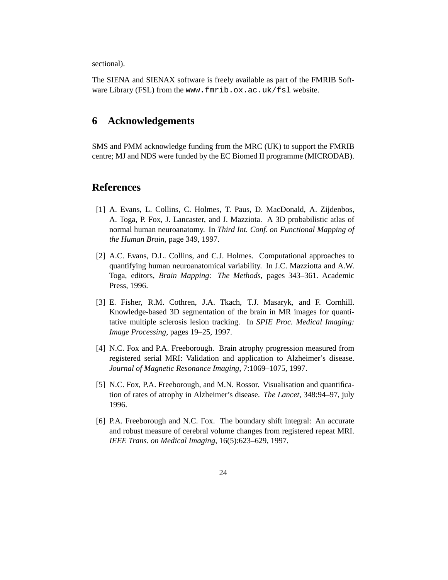sectional).

The SIENA and SIENAX software is freely available as part of the FMRIB Software Library (FSL) from the www.fmrib.ox.ac.uk/fsl website.

## **6 Acknowledgements**

SMS and PMM acknowledge funding from the MRC (UK) to support the FMRIB centre; MJ and NDS were funded by the EC Biomed II programme (MICRODAB).

# **References**

- [1] A. Evans, L. Collins, C. Holmes, T. Paus, D. MacDonald, A. Zijdenbos, A. Toga, P. Fox, J. Lancaster, and J. Mazziota. A 3D probabilistic atlas of normal human neuroanatomy. In *Third Int. Conf. on Functional Mapping of the Human Brain*, page 349, 1997.
- [2] A.C. Evans, D.L. Collins, and C.J. Holmes. Computational approaches to quantifying human neuroanatomical variability. In J.C. Mazziotta and A.W. Toga, editors, *Brain Mapping: The Methods*, pages 343–361. Academic Press, 1996.
- [3] E. Fisher, R.M. Cothren, J.A. Tkach, T.J. Masaryk, and F. Cornhill. Knowledge-based 3D segmentation of the brain in MR images for quantitative multiple sclerosis lesion tracking. In *SPIE Proc. Medical Imaging: Image Processing*, pages 19–25, 1997.
- [4] N.C. Fox and P.A. Freeborough. Brain atrophy progression measured from registered serial MRI: Validation and application to Alzheimer's disease. *Journal of Magnetic Resonance Imaging*, 7:1069–1075, 1997.
- [5] N.C. Fox, P.A. Freeborough, and M.N. Rossor. Visualisation and quantification of rates of atrophy in Alzheimer's disease. *The Lancet*, 348:94–97, july 1996.
- [6] P.A. Freeborough and N.C. Fox. The boundary shift integral: An accurate and robust measure of cerebral volume changes from registered repeat MRI. *IEEE Trans. on Medical Imaging*, 16(5):623–629, 1997.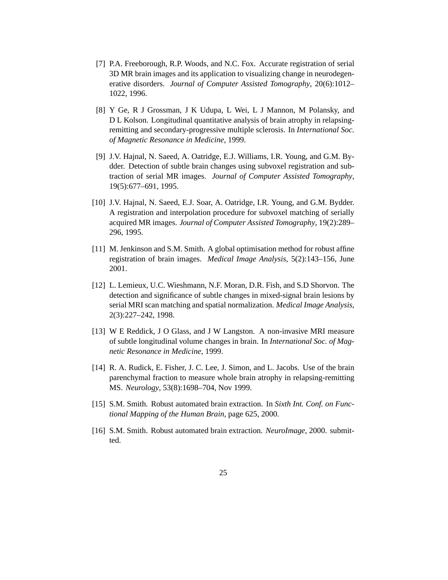- [7] P.A. Freeborough, R.P. Woods, and N.C. Fox. Accurate registration of serial 3D MR brain images and its application to visualizing change in neurodegenerative disorders. *Journal of Computer Assisted Tomography*, 20(6):1012– 1022, 1996.
- [8] Y Ge, R J Grossman, J K Udupa, L Wei, L J Mannon, M Polansky, and D L Kolson. Longitudinal quantitative analysis of brain atrophy in relapsingremitting and secondary-progressive multiple sclerosis. In *International Soc. of Magnetic Resonance in Medicine*, 1999.
- [9] J.V. Hajnal, N. Saeed, A. Oatridge, E.J. Williams, I.R. Young, and G.M. Bydder. Detection of subtle brain changes using subvoxel registration and subtraction of serial MR images. *Journal of Computer Assisted Tomography*, 19(5):677–691, 1995.
- [10] J.V. Hajnal, N. Saeed, E.J. Soar, A. Oatridge, I.R. Young, and G.M. Bydder. A registration and interpolation procedure for subvoxel matching of serially acquired MR images. *Journal of Computer Assisted Tomography*, 19(2):289– 296, 1995.
- [11] M. Jenkinson and S.M. Smith. A global optimisation method for robust affine registration of brain images. *Medical Image Analysis*, 5(2):143–156, June 2001.
- [12] L. Lemieux, U.C. Wieshmann, N.F. Moran, D.R. Fish, and S.D Shorvon. The detection and significance of subtle changes in mixed-signal brain lesions by serial MRI scan matching and spatial normalization. *Medical Image Analysis*, 2(3):227–242, 1998.
- [13] W E Reddick, J O Glass, and J W Langston. A non-invasive MRI measure of subtle longitudinal volume changes in brain. In *International Soc. of Magnetic Resonance in Medicine*, 1999.
- [14] R. A. Rudick, E. Fisher, J. C. Lee, J. Simon, and L. Jacobs. Use of the brain parenchymal fraction to measure whole brain atrophy in relapsing-remitting MS. *Neurology*, 53(8):1698–704, Nov 1999.
- [15] S.M. Smith. Robust automated brain extraction. In *Sixth Int. Conf. on Functional Mapping of the Human Brain*, page 625, 2000.
- [16] S.M. Smith. Robust automated brain extraction. *NeuroImage*, 2000. submitted.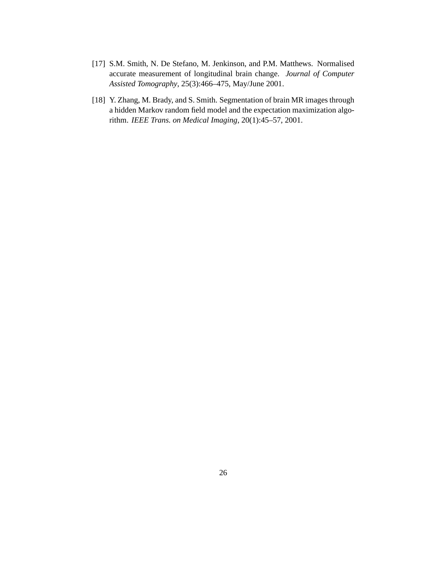- [17] S.M. Smith, N. De Stefano, M. Jenkinson, and P.M. Matthews. Normalised accurate measurement of longitudinal brain change. *Journal of Computer Assisted Tomography*, 25(3):466–475, May/June 2001.
- [18] Y. Zhang, M. Brady, and S. Smith. Segmentation of brain MR images through a hidden Markov random field model and the expectation maximization algorithm. *IEEE Trans. on Medical Imaging*, 20(1):45–57, 2001.